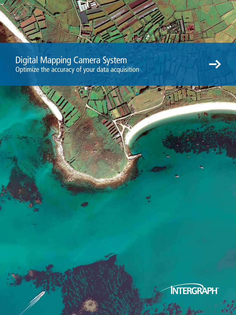Digital Mapping Camera System Optimize the accuracy of your data acquisition

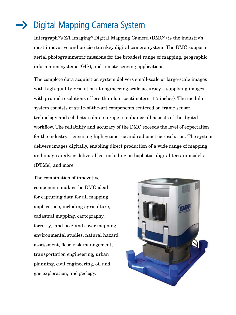# Digital Mapping Camera System

Intergraph®'s Z/I Imaging® Digital Mapping Camera (DMC®) is the industry's most innovative and precise turnkey digital camera system. The DMC supports aerial photogrammetric missions for the broadest range of mapping, geographic information systems (GIS), and remote sensing applications.

The complete data acquisition system delivers small-scale or large-scale images with high-quality resolution at engineering-scale accuracy – supplying images with ground resolutions of less than four centimeters (1.5 inches). The modular system consists of state-of-the-art components centered on frame sensor technology and solid-state data storage to enhance all aspects of the digital workflow. The reliability and accuracy of the DMC exceeds the level of expectation for the industry – ensuring high geometric and radiometric resolution. The system delivers images digitally, enabling direct production of a wide range of mapping and image analysis deliverables, including orthophotos, digital terrain models (DTMs), and more.

The combination of innovative components makes the DMC ideal for capturing data for all mapping applications, including agriculture, cadastral mapping, cartography, forestry, land use/land cover mapping, environmental studies, natural hazard assessment, flood risk management, transportation engineering, urban planning, civil engineering, oil and gas exploration, and geology.

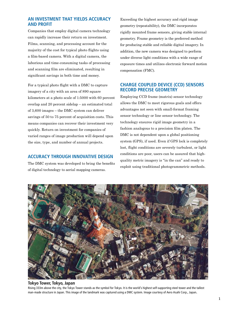# **An investment that yields accuracy and profit**

Companies that employ digital camera technology can rapidly increase their return on investment. Films, scanning, and processing account for the majority of the cost for typical photo flights using a film-based camera. With a digital camera, the laborious and time-consuming tasks of processing and scanning film are eliminated, resulting in significant savings in both time and money.

For a typical photo flight with a DMC to capture imagery of a city with an area of 890 square kilometers at a photo scale of 1:5000 with 60 percent overlap and 20 percent sidelap – an estimated total of 3,600 images – the DMC system can deliver savings of 50 to 75 percent of acquisition costs. This means companies can recover their investment very quickly. Return on investment for companies of varied ranges of image production will depend upon the size, type, and number of annual projects.

#### **ACCURACY THROUGH INNOVATIVE DESIGN**

The DMC system was developed to bring the benefits of digital technology to aerial mapping cameras.

Exceeding the highest accuracy and rigid image geometry (repeatability), the DMC incorporates rigidly mounted frame sensors, giving stable internal geometry. Frame geometry is the preferred method for producing stable and reliable digital imagery. In addition, the new camera was designed to perform under diverse light conditions with a wide range of exposure times and utilizes electronic forward motion compensation (FMC).

# **Charge Coupled Device (CCD) sensors record precise geometry**

Employing CCD frame (matrix) sensor technology allows the DMC to meet rigorous goals and offers advantages not seen with small-format framing sensor technology or line sensor technology. The technology ensures rigid image geometry in a fashion analogous to a precision film platen. The DMC is not dependent upon a global positioning system (GPS), if used. Even if GPS lock is completely lost, flight conditions are severely turbulent, or light conditions are poor, users can be assured that highquality metric imagery is "in the can" and ready to exploit using traditional photogrammetric methods.



#### **Tokyo Tower, Tokyo, Japan**

Rising 333m above the city, the Tokyo Tower stands as the symbol for Tokyo. It is the world's highest self-supporting steel tower and the tallest man-made structure in Japan. This image of the landmark was captured using a DMC system. Image courtesy of Aero Asahi Corp., Japan.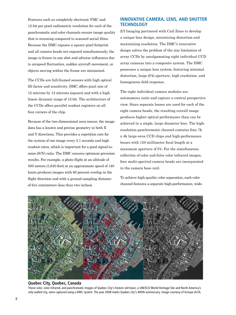Features such as completely electronic FMC and 12-bit per pixel radiometric resolution for each of the panchromatic and color channels ensure image quality that is stunning compared to scanned aerial films. Because the DMC exposes a square pixel footprint and all camera heads are exposed simultaneously, the image is frozen in one shot and adverse influences due to airspeed fluctuation, sudden aircraft movement, or objects moving within the frame are minimized.

The CCDs are full-framed sensors with high optical fill factor and sensitivity. DMC offers pixel size of 12 microns by 12 microns (square) and with a high linear dynamic range of 12-bit. The architecture of the CCDs offers parallel readout registers on all four corners of the chip.

Because of the two-dimensional area sensor, the image data has a known and precise geometry in both X and Y directions. This provides a repetition rate for the system of one image every 2.1 seconds and high readout rates, which is important for a good signal-tonoise (S/N) ratio. The DMC ensures optimum precision results. For example, a photo flight at an altitude of 500 meters (1,640 feet) at an approximate speed of 140 knots produces images with 60 percent overlap in the flight direction and with a ground sampling distance of five centimeters (less than two inches).

# **Innovative camera, lens, and shutter technology**

Z/I Imaging partnered with Carl Zeiss to develop a unique lens design, minimizing distortion and maximizing resolution. The DMC's innovative design solves the problem of the size limitation of array CCDs by amalgamating eight individual CCD array cameras into a composite system. The DMC possesses a unique lens system, featuring minimal distortion, large (f/4) aperture, high resolution, and homogenous field response.

The eight individual camera modules are autonomous units and capture a central perspective view. Since separate lenses are used for each of the eight camera heads, the resulting overall image produces higher optical performance than can be achieved in a single, large-diameter lens. The highresolution panchromatic channel contains four 7k x 4k large-area CCD chips and high-performance lenses with 120-millimeter focal length at a maximum aperture of f/4. For the simultaneous collection of color and false color infrared images, four multi-spectral camera heads are incorporated in the camera base unit.

To achieve high-quality color separation, each color channel features a separate high-performance, wide-



#### **Quebec City, Quebec, Canada**

These color, color infrared, and panchromatic images of Quebec City's historic old town, a UNESCO World Heritage Site and North America's only walled city, were captured using a DMC system. The year 2008 marks Quebec city's 400th anniversary. Image courtesy of Groupe ALTA.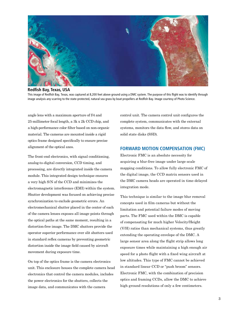

**Redfish Bay, Texas, USA** 

This image of Redfish Bay, Texas, was captured at 8,200 feet above ground using a DMC system. The purpose of this flight was to identify through image analysis any scarring to the state-protected, natural sea grass by boat propellers at Redfish Bay. Image courtesy of Photo Science.

angle lens with a maximum aperture of f/4 and 25-millimeter focal length, a 3k x 2k CCD chip, and a high-performance color filter based on non-organic material. The cameras are mounted inside a rigid optics frame designed specifically to ensure precise alignment of the optical axes.

The front-end electronics, with signal conditioning, analog-to-digital conversion, CCD timing, and processing, are directly integrated inside the camera module. This integrated design technique ensures a very high S/N of the CCD and minimizes the electromagnetic interference (EMI) within the system. Shutter development was focused on achieving precise synchronization to exclude geometric errors. An electromechanical shutter placed in the center of each of the camera lenses exposes all image points through the optical paths at the same moment, resulting in a distortion-free image. The DMC shutters provide the operator superior performance over slit shutters used in standard reflex cameras by preventing geometric distortion inside the image field caused by aircraft movement during exposure time.

On top of the optics frame is the camera electronics unit. This enclosure houses the complete camera head electronics that control the camera modules, includes the power electronics for the shutters, collects the image data, and communicates with the camera

control unit. The camera control unit configures the complete system, communicates with the external systems, monitors the data flow, and stores data on solid state disks (SSD).

## **Forward Motion Compensation (FMC)**

Electronic FMC is an absolute necessity for acquiring a blur-free image under large-scale mapping conditions. To allow fully electronic FMC of the digital image, the CCD matrix sensors used in the DMC camera heads are operated in time-delayed integration mode.

This technique is similar to the image blur removal concepts used in film cameras but without the limitation and potential failure modes of moving parts. The FMC used within the DMC is capable of compensating for much higher Velocity/Height (V/H) ratios than mechanical systems, thus greatly extending the operating envelope of the DMC. A large sensor area along the flight strip allows long exposure times while maintaining a high enough air speed for a photo flight with a fixed wing aircraft at low altitudes. This type of FMC cannot be achieved in standard linear CCD or "push broom" sensors. Electronic FMC, with the combination of precision optics and framing CCDs, allow the DMC to achieve high ground resolutions of only a few centimeters.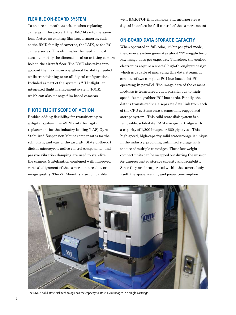#### **Flexible on-board system**

To ensure a smooth transition when replacing cameras in the aircraft, the DMC fits into the same form factors as existing film-based cameras, such as the RMK family of cameras, the LMK, or the RC camera series. This eliminates the need, in most cases, to modify the dimensions of an existing camera hole in the aircraft floor. The DMC also takes into account the maximum operational flexibility needed while transitioning to an all-digital configuration. Included as part of the system is Z/I Inflight, an integrated flight management system (FMS), which can also manage film-based cameras.

#### **Photo flight scope of action**

Besides adding flexibility for transitioning to a digital system, the Z/I Mount (the digital replacement for the industry-leading T-AS) Gyro Stabilized Suspension Mount compensates for the roll, pitch, and yaw of the aircraft. State-of-the-art digital microgyros, active control components, and passive vibration damping are used to stabilize the camera. Stabilization combined with improved vertical alignment of the camera ensures better image quality. The Z/I Mount is also compatible

with RMK-TOP film cameras and incorporates a digital interface for full control of the camera mount.

# **On-board data storage capacity**

When operated in full-color, 12-bit per pixel mode, the camera system generates about 272 megabytes of raw image data per exposure. Therefore, the control electronics require a special high-throughput design, which is capable of managing this data stream. It consists of two complete PCI-bus-based slot PCs operating in parallel. The image data of the camera modules is transferred via a parallel bus to highspeed, frame-grabber PCI-bus cards. Finally, the data is transferred via a separate data link from each of the CPU systems onto a removable, ruggedized storage system. This solid state disk system is a removable, solid-state RAM storage cartridge with a capacity of 1,200 images or 660 gigabytes. This high-speed, high-capacity solid state/storage is unique in the industry, providing unlimited storage with the use of multiple cartridges. These low-weight, compact units can be swapped out during the mission for unprecedented storage capacity and reliability. Since they are incorporated within the camera body itself, the space, weight, and power consumption



The DMC's solid state disk technology has the capacity to store 1,200 images in a single cartridge.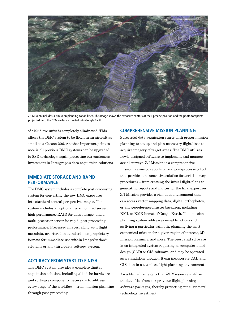

Z/I Mission includes 3D mission planning capabilities. This image shows the exposure centers at their precise position and the photo footprints projected onto the DTM surface exported into Google Earth.

of disk drive units is completely eliminated. This allows the DMC system to be flown in an aircraft as small as a Cessna 206. Another important point to note is all previous DMC systems can be upgraded to SSD technology, again protecting our customers' investment in Intergraph's data acquisition solutions.

# **Immediate storage and rapid performance**

The DMC system includes a complete post-processing system for converting the raw DMC exposures into standard central-perspective images. The system includes an optional rack-mounted server, high-performance RAID for data storage, and a multi-processor server for rapid, post-processing performance. Processed images, along with flight metadata, are stored in standard, non-proprietary formats for immediate use within ImageStation® solutions or any third-party softcopy system.

# **ACCURACY FROM START TO FINISH**

The DMC system provides a complete digital acquisition solution, including all of the hardware and software components necessary to address every stage of the workflow – from mission planning through post-processing.

# **Comprehensive mission planning**

Successful data acquisition starts with proper mission planning to set up and plan necessary flight lines to acquire imagery of target areas. The DMC utilizes newly designed software to implement and manage aerial surveys. Z/I Mission is a comprehensive mission planning, reporting, and post-processing tool that provides an innovative solution for aerial survey procedures – from creating the initial flight plans to generating reports and indices for the final exposures. Z/I Mission provides a rich data environment that can access vector mapping data, digital orthophotos, or any georeferenced raster backdrop, including KML or KMZ format of Google Earth. This mission planning system addresses usual functions such as flying a particular azimuth, planning the most economical mission for a given region of interest, 3D mission planning, and more. The geospatial software is an integrated system requiring no computer-aided design (CAD) or GIS software, and may be operated as a standalone product. It can incorporate CAD and GIS data in a seamless flight planning environment.

An added advantage is that Z/I Mission can utilize the data files from our previous flight planning software packages, thereby protecting our customers' technology investment.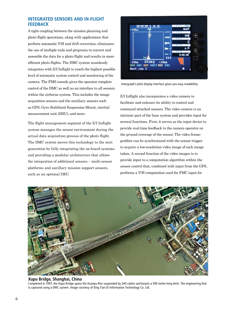# **Integrated sensors and in-flight feedback**

A tight coupling between the mission planning and photo flight operations, along with applications that perform automatic V/H and drift correction, eliminates the use of multiple tools and programs to convert and assemble the data for a photo flight and results in more efficient photo flights. The DMC system seamlessly integrates with Z/I Inflight to reach the highest possible level of automatic system control and monitoring of the camera. The FMS console gives the operator complete control of the DMC as well as an interface to all sensors within the airborne system. This includes the image acquisition sensors and the auxiliary sensors such as GPS, Gyro Stabilized Suspension Mount, inertial measurement unit (IMU), and more.

The flight management segment of the Z/I Inflight system manages the sensor environment during the actual data acquisition process of the photo flight. The DMC system moves this technology to the next generation by fully integrating the on-board systems and providing a modular architecture that allows the integration of additional sensors – multi-sensor platforms and ancillary mission support sensors, such as an optional IMU.



Intergraph's pilot display interface gives you easy readability.

Z/I Inflight also incorporates a video camera to facilitate and enhance its ability to control and command attached sensors. The video camera is an intrinsic part of the base system and provides input for several functions. First, it serves as the input device to provide real-time feedback to the camera operator on the ground coverage of the sensor. The video framegrabber can be synchronized with the sensor trigger to acquire a low-resolution video image of each image taken. A second function of the video images is to provide input to a computation algorithm within the sensor control that, combined with input from the GPS, performs a V/H computation used for FMC input for



#### **Xupu Bridge, Shanghai, China**

Completed in 1997, the Xupu Bridge spans the Huanpu Rier suspended by 240 cables and boasts a 590 meter-long deck. The engineering feat is captured using a DMC system. Image courtesy of Xing Tian Di Information Technology Co. Ltd.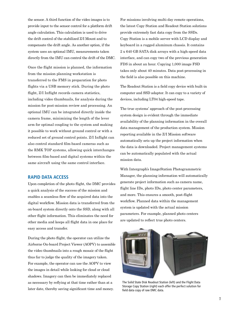the sensor. A third function of the video images is to provide input to the sensor control for a platform drift angle calculation. This calculation is used to drive the drift control of the stabilized Z/I Mount and to compensate the drift angle. As another option, if the system uses an optional IMU, measurements taken directly from the IMU can control the drift of the DMC.

Once the flight mission is planned, the information from the mission planning workstation is transferred to the FMS in preparation for photo flights via a USB memory stick. During the photo flight, Z/I Inflight records camera statistics, including video thumbnails, for analysis during the mission for post-mission review and processing. An optional IMU can be integrated directly inside the camera frame, minimizing the length of the lever arm for optimal coupling to the system and making it possible to work without ground control or with a reduced set of ground control points. Z/I Inflight can also control standard film-based cameras such as the RMK TOP systems, allowing quick interchanges between film-based and digital systems within the same aircraft using the same control interface.

# **Rapid data access**

Upon completion of the photo flight, the DMC provides a quick analysis of the success of the mission and enables a seamless flow of the acquired data into the digital workflow. Mission data is transferred from the on-board system directly onto the SSD, along with all other flight information. This eliminates the need for other media and keeps all flight data in one place for easy access and transfer.

During the photo flight, the operator can utilize the Airborne On-board Project Viewer (AOPV) to assemble the video thumbnails into a rough mosaic of the flight thus far to judge the quality of the imagery taken. For example, the operator can use the AOPV to view the images in detail while looking for cloud or cloud shadows. Imagery can then be immediately replaced as necessary by reflying at that time rather than at a later date, thereby saving significant time and money.

For missions involving multi-day remote operations, the latest Copy Station and Readout Station solutions provide extremely fast data copy from the SSDs. Copy Station is a mobile server with LCD display and keyboard in a rugged aluminum chassis. It contains 2 x 640 GB SATA disk arrays with a high-speed data interface, and can copy two of the previous generation FDS in about an hour. Copying 1,000 image FSD takes only about 40 minutes. Data post-processing in the field is also possible on this machine.

The Readout Station is a field copy device with built-in computer and SSD adaptor. It can copy to a variety of devices, including LT04 high-speed tape.

The true systems' approach of the post-processing system design is evident through the immediate availability of the planning information in the overall data management of the production system. Mission reporting available in the Z/I Mission software automatically sets up the project information when the data is downloaded. Project management systems can be automatically populated with the actual mission data.

With Intergraph's ImageStation Photogrammetric Manager, the planning information will automatically generate project information such as camera name, flight line IDs, photo IDs, photo center parameters, and more. This ensures a smooth, post-flight workflow. Planned data within the management system is updated with the actual mission parameters. For example, planned photo centers are updated to reflect true photo centers.



The Solid State Disk Readout Station (left) and the Flight Data Storage Copy Station (right) each offer the perfect solution for field data copy of raw DMC data.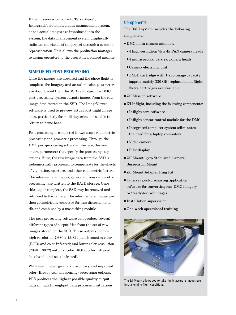If the mission is output into TerraShare®, Intergraph's automated data management system, as the actual images are introduced into the system, the data management system graphically indicates the status of the project through a symbolic representation. This allows the production manager to assign operators to the project in a phased manner.

#### **Simplified post-processing**

Once the images are acquired and the photo flight is complete, the imagery and actual mission parameters are downloaded from the SSD cartridge. The DMC post-processing system outputs images from the raw image data stored on the SSD. The ImageViewer software is used to preview actual post-flight image data, particularly for multi-day missions unable to return to home base.

Post-processing is completed in two steps: radiometric processing and geometric processing. Through the DMC post-processing software interface, the user enters parameters that specify the processing step options. First, the raw image data from the SSD is radiometrically processed to compensate for the effects of vignetting, aperture, and other radiometric factors. The intermediate images, generated from radiometric processing, are written to the RAID storage. Once this step is complete, the SSD may be removed and returned to the camera. The intermediate images are then geometrically corrected for lens distortion and tilt and combined by a mosaicking module.

The post-processing software can produce several different types of output files from the set of raw images stored on the SSD. These outputs include high resolution 7,680 x 13,824 panchromatic; color (RGB) and color infrared; and lower color resolution (2048 x 3072) outputs (color [RGB], color infrared, four band, and near infrared).

With even higher geometric accuracy and improved color (Brovey pan-sharpening) processing options, PPS produces the highest possible quality output data in high throughput data processing situations.

#### **Components**

The DMC system includes the following components:

- $\blacksquare$  DMC main camera assembly
	- $\blacksquare$ 4 high-resolution 7k x 4k PAN camera heads
	- $\blacksquare$ 4 multispectral 3k x 2k camera heads
	- $\blacksquare$ Camera electronic unit
	- $\blacksquare$  1 SSD cartridge with 1,200 image capacity (approximately 330 GB) replaceable in flight. Extra cartridges are available.
- $Z/I$  Mission software
- Z/I Inflight, including the following components:
	- ■Inflight core software
	- <sup>n</sup> Inflight sensor control module for the DMC
	- <sup>n</sup> Integrated computer system (eliminates the need for a laptop computer)
	- Video camera
	- $\blacksquare$  Pilot display
- Z/I Mount Gyro Stabilized Camera Suspension Mount
- Z/I Mount Adapter Ring Kit
- $\blacksquare$  Turnkey post-processing application software for converting raw DMC imagery to "ready-to-use" images
- Installation supervision
- $\blacksquare$  One-week operational training



The Z/I Mount allows you to take highly accurate images even in challenging flight conditions.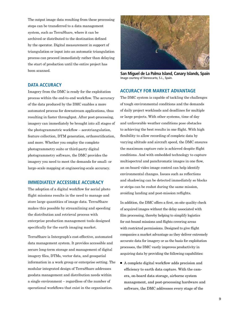The output image data resulting from these processing steps can be transferred to a data management system, such as TerraShare, where it can be archived or distributed to the destination defined by the operator. Digital measurement in support of triangulation or input into an automatic triangulation process can proceed immediately rather than delaying the start of production until the entire project has been scanned.

#### **Data accuracy**

Imagery from the DMC is ready for the exploitation process within the end-to-end workflow. The accuracy of the data produced by the DMC enables a more automated process for downstream applications, thus resulting in faster throughput. After post-processing, imagery can immediately be brought into all stages of the photogrammetric workflow – aerotriangulation, feature collection, DTM generation, orthorectification, and more. Whether you employ the complete photogrammetry suite or third-party digital photogrammetry software, the DMC provides the imagery you need to meet the demands for small- or large-scale mapping at engineering-scale accuracy.

#### **IMMEDIATELY ACCESSIBLE ACCURACY**

The adoption of a digital workflow for aerial photo flight missions results in the need to manage and store large quantities of image data. TerraShare makes this possible by streamlining and speeding the distribution and retrieval process with enterprise production management tools designed specifically for the earth imaging market.

TerraShare is Intergraph's cost-effective, automated data management system. It provides accessible and secure long-term storage and management of digital imagery files, DTMs, vector data, and geospatial information in a work group or enterprise setting. The modular integrated design of TerraShare addresses geodata management and distribution needs within a single environment – regardless of the number of operational workflows that exist in the organization.



**San Miguel de La Palma Island, Canary Islands, Spain** Image courtesy of Stereocarto, S.L., Spain.

# **Accuracy for market advantage**

The DMC system is capable of tackling the challenges of tough environmental conditions and the demands of daily project workloads and deadlines for multiple or large projects. With other systems, time of day and unfavorable weather conditions pose obstacles to achieving the best results in one flight. With high flexibility to allow recording of complete data by varying altitude and aircraft speed, the DMC ensures the maximum capture rate is achieved despite flight conditions. And with embedded technology to capture multispectral and panchromatic images in one flow, an on-board video image control can help identify environmental changes. Issues such as reflections and shadowing can be detected immediately so blocks or strips can be reshot during the same mission, avoiding landing and post-mission reflights.

In addition, the DMC offers a first, on-site quality check of acquired images without the delay associated with film processing, thereby helping to simplify logistics for out-bound missions and flights covering areas with restricted permissions. Designed to give flight companies a market advantage as they deliver extremely accurate data for imagery or as the basis for exploitation processes, the DMC vastly improves productivity in acquiring data by providing the following capabilities:

 $\blacksquare$  A complete digital workflow adds precision and efficiency to earth data capture. With the camera, on-board data storage, airborne system management, and post-processing hardware and software, the DMC addresses every stage of the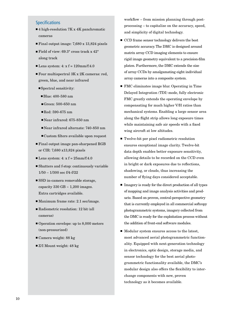# Specifications

- $\blacksquare$  4 high-resolution 7K x 4K panchromatic cameras
- Final output image: 7,680 x 13,824 pixels
- Field of view:  $69.3^\circ$  cross track x  $42^\circ$ along track
- Lens system:  $4: x f = 120$ mm/f:4.0
- $\blacksquare$  Four multispectral  $3K \times 2K$  cameras: red, green, blue, and near infrared
	- $\blacksquare$  Spectral sensitivity:
		- <sup>n</sup> Blue: 400-580 nm
		- Green:  $500-650$  nm
		- $\blacksquare$  Red: 590-675 nm
		- Near infrared: 675-850 nm
		- Near infrared alternate: 740-850 nm
		- <sup>n</sup> Custom filters available upon request
- $\blacksquare$  Final output image pan-sharpened RGB or CIR: 7,680 x13,824 pixels
- Lens system:  $4: x f = 25mm/f:4.0$
- $\blacksquare$  <br> Shutters and f-stop: continuously variable 1/50 – 1/300 sec f/4-f/22
- $\blacksquare$  SSD in-camera removable storage, capacity  $330$  GB  $\sim$  1,200 images. Extra cartridges available.
- Maximum frame rate: 2.1 sec/image.
- $\blacksquare$  Radiometric resolution: 12 bit (all cameras)
- $\blacksquare$  Operation envelope: up to 8,000 meters (non-pressurized)
- $\blacksquare$  Camera weight: 88 kg
- $\blacksquare$  Z/I Mount weight: 48 kg

workflow – from mission planning through postprocessing – to capitalize on the accuracy, speed, and simplicity of digital technology.

- CCD frame sensor technology delivers the best geometric accuracy. The DMC is designed around matrix array CCD imaging elements to ensure rigid image geometry equivalent to a precision-film platen. Furthermore, the DMC extends the size of array CCDs by amalgamating eight individual array cameras into a composite system.
- $\blacksquare$  FMC eliminates image blur. Operating in Time Delayed Integration (TDI) mode, fully electronic FMC greatly extends the operating envelope by compensating for much higher V/H ratios than mechanical systems. Enabling a large sensor area along the flight strip allows long exposure times while maintaining safe air speeds with a fixed wing aircraft at low altitudes.
- Twelve-bit per pixel radiometric resolution ensures exceptional image clarity. Twelve-bit data depth enables better exposure sensitivity, allowing details to be recorded on the CCD even in bright or dark exposures due to reflections, shadowing, or clouds, thus increasing the number of flying days considered acceptable.
- $\blacksquare$  Imagery is ready for the direct production of all types of mapping and image analysis activities and products. Based on proven, central-perspective geometry that is currently employed in all commercial softcopy photogrammetric systems, imagery collected from the DMC is ready for the exploitation process without the addition of front-end software modules.
- Modular system ensures access to the latest, most advanced aerial photogrammetric functionality. Equipped with next-generation technology in electronics, optic design, storage media, and sensor technology for the best aerial photogrammetric functionality available, the DMC's modular design also offers the flexibility to interchange components with new, proven technology as it becomes available.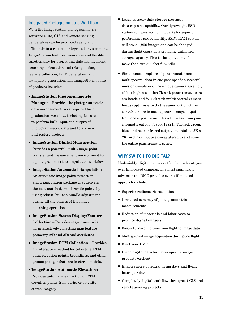#### Integrated Photogrammetric Workflow

With the ImageStation photogrammetric software suite, GIS and remote sensing deliverables can be produced easily and efficiently in a reliable, integrated environment. ImageStation features innovative and flexible functionality for project and data management, scanning, orientation and triangulation, feature collection, DTM generation, and orthophoto generation. The ImageStation suite of products includes:

- <sup>n</sup> ImageStation Photogrammetric Manager – Provides the photogrammetric data management tools required for a production workflow, including features to perform bulk input and output of photogrammetric data and to archive and restore projects.
- ImageStation Digital Mensuration -Provides a powerful, multi-image point transfer and measurement environment for a photogrammetric triangulation workflow.
- $\blacksquare$  ImageStation Automatic Triangulation An automatic image point extraction and triangulation package that delivers the best-matched, multi-ray tie points by using robust, built-in bundle adjustment during all the phases of the image matching operation.
- ImageStation Stereo Display/Feature Collection – Provides easy-to-use tools for interactively collecting map feature geometry (2D and 3D) and attributes.
- ImageStation DTM Collection Provides an interactive method for collecting DTM data, elevation points, breaklines, and other geomorphologic features in stereo models.
- ImageStation Automatic Elevations Provides automatic extraction of DTM elevation points from aerial or satellite stereo imagery.
- Large-capacity data storage increases data-capture capability. Our lightweight SSD system contains no moving parts for superior performance and reliability. SSD's RAM system will store 1,200 images and can be changed during flight operations providing unlimited storage capacity. This is the equivalent of more than two 500 foot film rolls.
- Simultaneous capture of panchromatic and multispectral data in one pass speeds successful mission completion. The unique camera assembly of four high-resolution 7k x 4k panchromatic camera heads and four 3k x 2k multispectral camera heads captures exactly the same portion of the earth's surface in one exposure. Image output from one exposure includes a full-resolution panchromatic output (7680 x 13824). The red, green, blue, and near-infrared outputs maintain a 3K x 2K resolution but are co-registered to and cover the entire panchromatic scene.

#### **Why switch to digital?**

Undeniably, digital cameras offer clear advantages over film-based cameras. The most significant advances the DMC provides over a film-based approach include:

- Superior radiometric resolution
- Increased accuracy of photogrammetric measurements
- Reduction of materials and labor costs to produce digital imagery
- $\blacksquare$  Faster turnaround time from flight to image data
- Multispectral image acquisition during one flight
- **Electronic FMC**
- $\blacksquare$  Clean digital data for better-quality image products (orthos)
- $\blacksquare$  Enables more potential flying days and flying hours per day
- $\blacksquare$  Completely digital workflow throughout GIS and remote sensing projects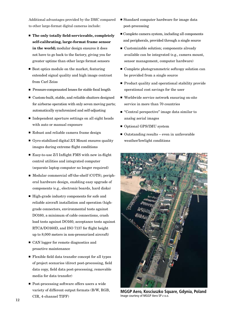Additional advantages provided by the DMC compared to other large-format digital cameras include:

- $\blacksquare$  The only totally field-serviceable, completely self-calibrating, large-format frame sensor in the world; modular design ensures it does not have to go back to the factory, giving you far greater uptime than other large format sensors
- $\blacksquare$  Best optics module on the market, featuring extended signal quality and high image contrast from Carl Zeiss
- Pressure-compensated lenses for stable focal length
- $\blacksquare$  Custom-built, stable, and reliable shutters designed for airborne operation with only seven moving parts; automatically synchronized and self-adjusting
- $\blacksquare$  Independent aperture settings on all eight heads with auto or manual exposure
- Robust and reliable camera frame design
- Gyro-stabilized digital  $Z/I$  Mount ensures quality images during extreme flight conditions
- Easy-to-use  $Z/I$  Inflight FMS with new in-flight control utilities and integrated computer (separate laptop computer no longer required)
- Modular commercial off-the-shelf (COTS), peripheral hardware design, enabling easy upgrade of components (e.g., electronic boards, hard disks)
- $\blacksquare$  High-grade industry components for safe and reliable aircraft installation and operation (highgrade connectors, environmental tests against DO160, a minimum of cable connections, crash load tests against DO160, acceptance tests against RTCA/DO160D, and ISO 7137 for flight height up to 8,000 meters in non-pressurized aircraft)
- CAN logger for remote diagnostics and proactive maintenance
- $\blacksquare$  Flexible field data transfer concept for all types of project scenarios (direct post-processing, field data copy, field data post-processing, removable media for data transfer)
- Post-processing software offers users a wide variety of different output formats (B/W, RGB, CIR, 4-channel TIFF)
- Standard computer hardware for image data post-processing
- $\blacksquare$  Complete camera system, including all components and peripherals, provided through a single source
- $\blacksquare$  Customizable solution; components already available can be integrated (e.g., camera mount, sensor management, computer hardware)
- $\blacksquare$  Complete photogrammetric softcopy solution can be provided from a single source
- $\blacksquare$  Product quality and operational stability provide operational cost savings for the user
- Worldwide service network ensuring on-site service in more than 70 countries
- $\blacksquare$  "Central perspective" image data similar to analog aerial images
- Optional GPS/IMU system
- $\blacksquare$  Outstanding results even in unfavorable weather/lowlight conditions



**MGGP Aero, Kosciuszko Square, Gdynia, Poland** Image courtesy of MGGP Aero SP z o.o.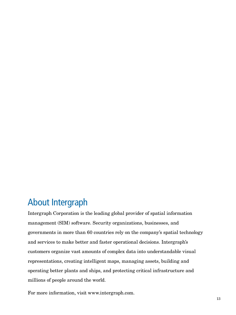# About Intergraph

Intergraph Corporation is the leading global provider of spatial information management (SIM) software. Security organizations, businesses, and governments in more than 60 countries rely on the company's spatial technology and services to make better and faster operational decisions. Intergraph's customers organize vast amounts of complex data into understandable visual representations, creating intelligent maps, managing assets, building and operating better plants and ships, and protecting critical infrastructure and millions of people around the world.

For more information, visit www.intergraph.com.